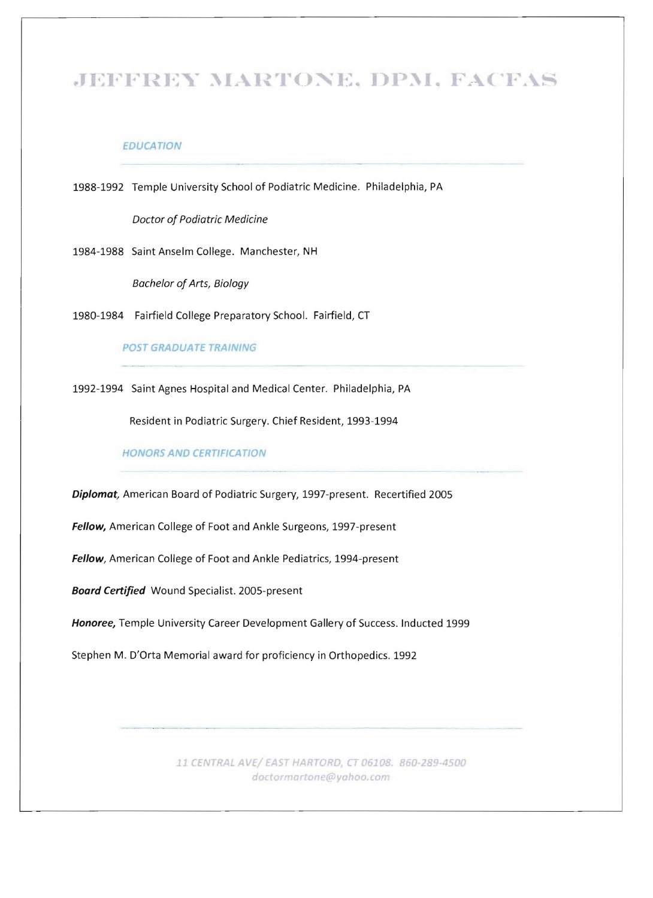# **JEFFREY MARTONE, DPM, FACFAS**

## **EDUCATION**

1988-1992 Temple University School of Podiatric Medicine. Philadelphia, PA

Doctor of Podiatric Medicine

1984-1988 Saint Anselm College. Manchester, NH

Bachelor of Arts, Biology

1980-1984 Fairfield College Preparatory School. Fairfield, CT

#### POST GRADUATE TRAINING

1992-1994 Saint Agnes Hospital and Medical Center. Philadelphia, PA

Resident in Podiatric Surgery. Chief Resident, 1993-1994

## HONORS AND CERTIFICATION

*Dip/omat,* American Board of Podiatric Surgery, 1997-present. Recertified 200S

Fellow, American College of Foot and Ankle Surgeons, 1997-present

Fellow, American College of Foot and Ankle Pediatrics, 1994-present

**Board** *Certified* Wound Specialist. 200S-present

Honoree, Temple University Career Development Gallery of Success. Inducted 1999

Stephen M. D'Orta Memorial award for proficiency in Orthopedics. 1992

11 CENTRAL AVE/ EAST HARTORD, CT 06108. 860-289-4500 *doctormarton @yahoo.com*